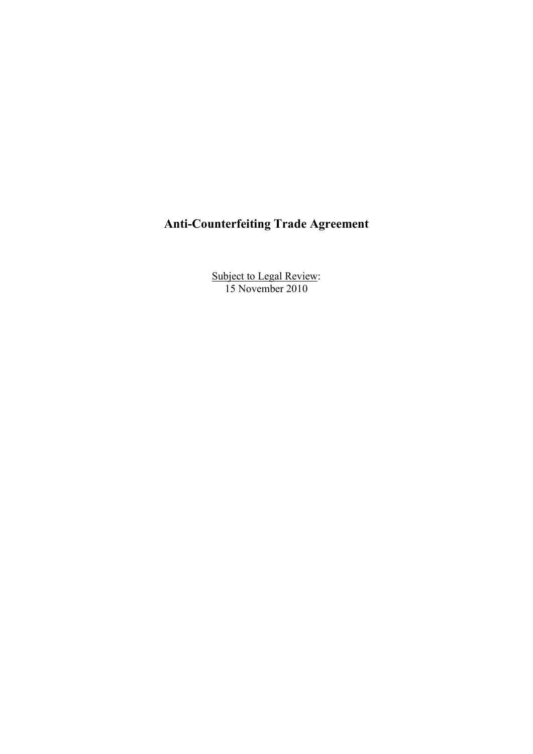# **Anti-Counterfeiting Trade Agreement**

Subject to Legal Review: 15 November 2010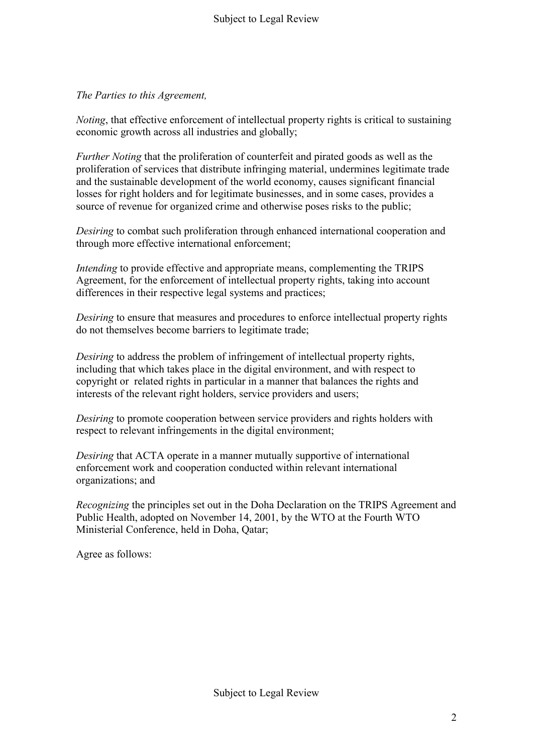## *The Parties to this Agreement,*

*Noting*, that effective enforcement of intellectual property rights is critical to sustaining economic growth across all industries and globally;

*Further Noting* that the proliferation of counterfeit and pirated goods as well as the proliferation of services that distribute infringing material, undermines legitimate trade and the sustainable development of the world economy, causes significant financial losses for right holders and for legitimate businesses, and in some cases, provides a source of revenue for organized crime and otherwise poses risks to the public;

*Desiring* to combat such proliferation through enhanced international cooperation and through more effective international enforcement;

*Intending* to provide effective and appropriate means, complementing the TRIPS Agreement, for the enforcement of intellectual property rights, taking into account differences in their respective legal systems and practices;

*Desiring* to ensure that measures and procedures to enforce intellectual property rights do not themselves become barriers to legitimate trade;

*Desiring* to address the problem of infringement of intellectual property rights, including that which takes place in the digital environment, and with respect to copyright or related rights in particular in a manner that balances the rights and interests of the relevant right holders, service providers and users;

*Desiring* to promote cooperation between service providers and rights holders with respect to relevant infringements in the digital environment;

*Desiring* that ACTA operate in a manner mutually supportive of international enforcement work and cooperation conducted within relevant international organizations; and

*Recognizing* the principles set out in the Doha Declaration on the TRIPS Agreement and Public Health, adopted on November 14, 2001, by the WTO at the Fourth WTO Ministerial Conference, held in Doha, Qatar;

Agree as follows: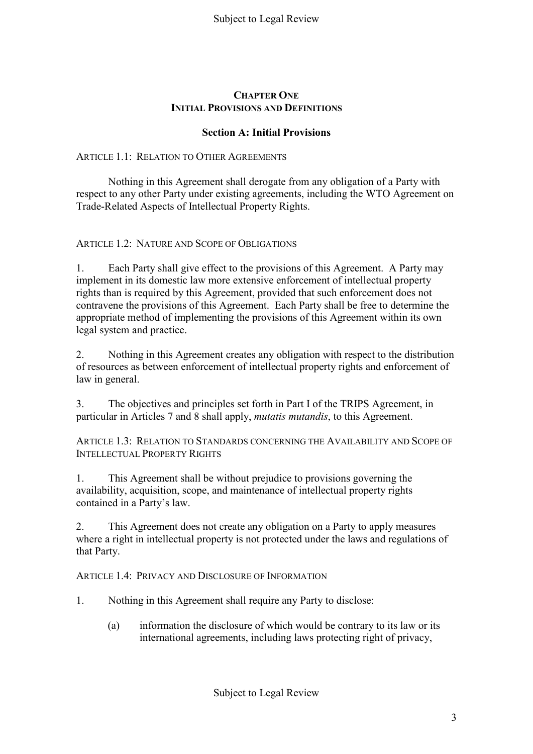#### **CHAPTER ONE INITIAL PROVISIONS AND DEFINITIONS**

#### **Section A: Initial Provisions**

#### ARTICLE 1.1: RELATION TO OTHER AGREEMENTS

Nothing in this Agreement shall derogate from any obligation of a Party with respect to any other Party under existing agreements, including the WTO Agreement on Trade-Related Aspects of Intellectual Property Rights.

ARTICLE 1.2: NATURE AND SCOPE OF OBLIGATIONS

1. Each Party shall give effect to the provisions of this Agreement. A Party may implement in its domestic law more extensive enforcement of intellectual property rights than is required by this Agreement, provided that such enforcement does not contravene the provisions of this Agreement. Each Party shall be free to determine the appropriate method of implementing the provisions of this Agreement within its own legal system and practice.

2. Nothing in this Agreement creates any obligation with respect to the distribution of resources as between enforcement of intellectual property rights and enforcement of law in general.

3. The objectives and principles set forth in Part I of the TRIPS Agreement, in particular in Articles 7 and 8 shall apply, *mutatis mutandis*, to this Agreement.

ARTICLE 1.3: RELATION TO STANDARDS CONCERNING THE AVAILABILITY AND SCOPE OF INTELLECTUAL PROPERTY RIGHTS

1. This Agreement shall be without prejudice to provisions governing the availability, acquisition, scope, and maintenance of intellectual property rights contained in a Party's law.

2. This Agreement does not create any obligation on a Party to apply measures where a right in intellectual property is not protected under the laws and regulations of that Party.

ARTICLE 1.4: PRIVACY AND DISCLOSURE OF INFORMATION

- 1. Nothing in this Agreement shall require any Party to disclose:
	- (a) information the disclosure of which would be contrary to its law or its international agreements, including laws protecting right of privacy,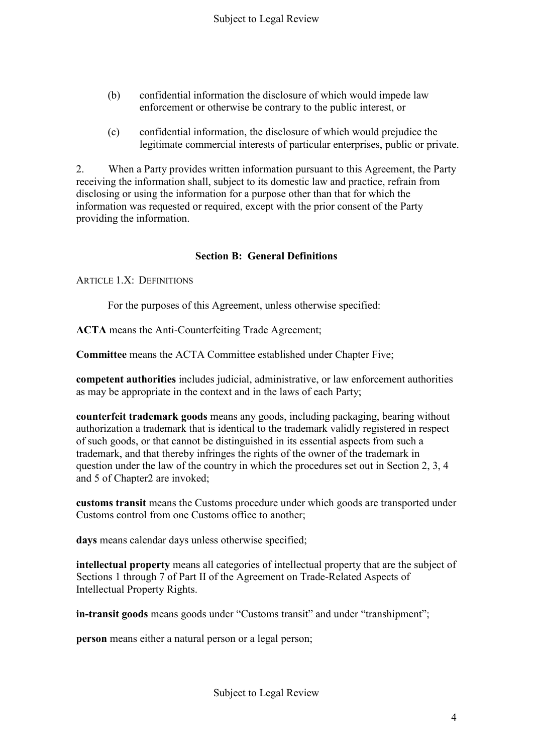- (b) confidential information the disclosure of which would impede law enforcement or otherwise be contrary to the public interest, or
- (c) confidential information, the disclosure of which would prejudice the legitimate commercial interests of particular enterprises, public or private.

2. When a Party provides written information pursuant to this Agreement, the Party receiving the information shall, subject to its domestic law and practice, refrain from disclosing or using the information for a purpose other than that for which the information was requested or required, except with the prior consent of the Party providing the information.

## **Section B: General Definitions**

ARTICLE 1 X<sup>·</sup> DEFINITIONS

For the purposes of this Agreement, unless otherwise specified:

**ACTA** means the Anti-Counterfeiting Trade Agreement;

**Committee** means the ACTA Committee established under Chapter Five;

**competent authorities** includes judicial, administrative, or law enforcement authorities as may be appropriate in the context and in the laws of each Party;

**counterfeit trademark goods** means any goods, including packaging, bearing without authorization a trademark that is identical to the trademark validly registered in respect of such goods, or that cannot be distinguished in its essential aspects from such a trademark, and that thereby infringes the rights of the owner of the trademark in question under the law of the country in which the procedures set out in Section 2, 3, 4 and 5 of Chapter2 are invoked;

**customs transit** means the Customs procedure under which goods are transported under Customs control from one Customs office to another;

**days** means calendar days unless otherwise specified;

**intellectual property** means all categories of intellectual property that are the subject of Sections 1 through 7 of Part II of the Agreement on Trade-Related Aspects of Intellectual Property Rights.

**in-transit goods** means goods under "Customs transit" and under "transhipment";

**person** means either a natural person or a legal person;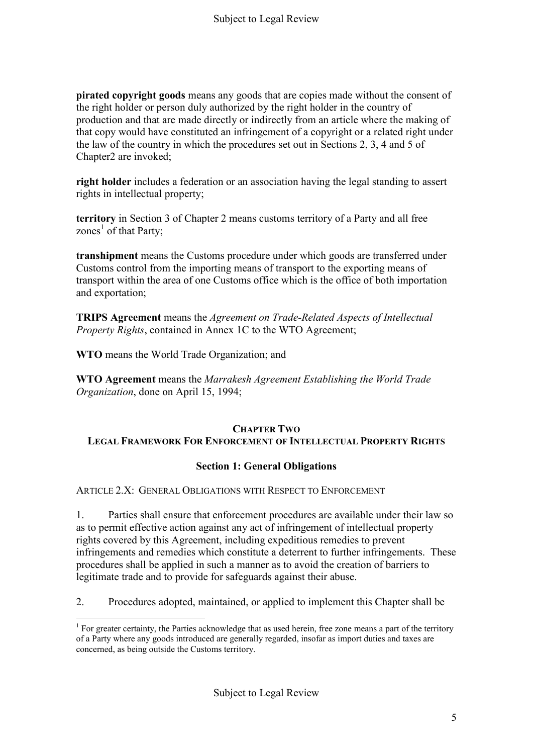**pirated copyright goods** means any goods that are copies made without the consent of the right holder or person duly authorized by the right holder in the country of production and that are made directly or indirectly from an article where the making of that copy would have constituted an infringement of a copyright or a related right under the law of the country in which the procedures set out in Sections 2, 3, 4 and 5 of Chapter2 are invoked;

**right holder** includes a federation or an association having the legal standing to assert rights in intellectual property;

**territory** in Section 3 of Chapter 2 means customs territory of a Party and all free zones<sup>1</sup> of that Party;

**transhipment** means the Customs procedure under which goods are transferred under Customs control from the importing means of transport to the exporting means of transport within the area of one Customs office which is the office of both importation and exportation;

**TRIPS Agreement** means the *Agreement on Trade-Related Aspects of Intellectual Property Rights*, contained in Annex 1C to the WTO Agreement;

**WTO** means the World Trade Organization; and

1

**WTO Agreement** means the *Marrakesh Agreement Establishing the World Trade Organization*, done on April 15, 1994;

## **CHAPTER TWO LEGAL FRAMEWORK FOR ENFORCEMENT OF INTELLECTUAL PROPERTY RIGHTS**

## **Section 1: General Obligations**

ARTICLE 2.X: GENERAL OBLIGATIONS WITH RESPECT TO ENFORCEMENT

1. Parties shall ensure that enforcement procedures are available under their law so as to permit effective action against any act of infringement of intellectual property rights covered by this Agreement, including expeditious remedies to prevent infringements and remedies which constitute a deterrent to further infringements. These procedures shall be applied in such a manner as to avoid the creation of barriers to legitimate trade and to provide for safeguards against their abuse.

2. Procedures adopted, maintained, or applied to implement this Chapter shall be

<sup>&</sup>lt;sup>1</sup> For greater certainty, the Parties acknowledge that as used herein, free zone means a part of the territory of a Party where any goods introduced are generally regarded, insofar as import duties and taxes are concerned, as being outside the Customs territory.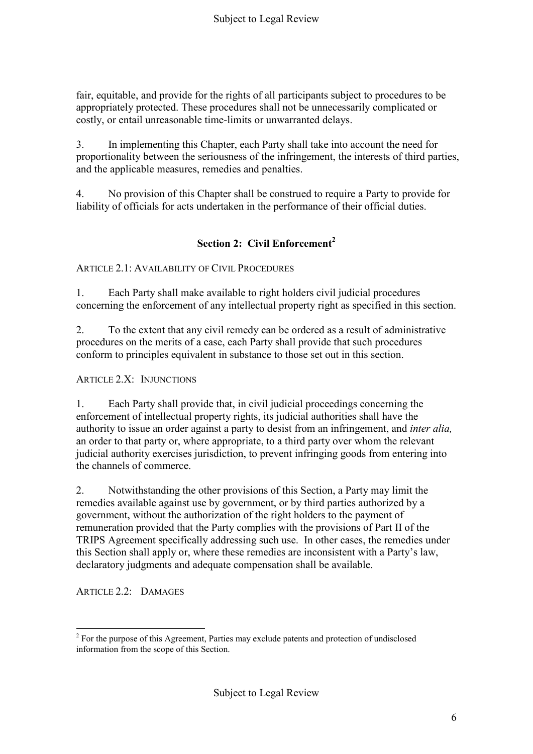fair, equitable, and provide for the rights of all participants subject to procedures to be appropriately protected. These procedures shall not be unnecessarily complicated or costly, or entail unreasonable time-limits or unwarranted delays.

3. In implementing this Chapter, each Party shall take into account the need for proportionality between the seriousness of the infringement, the interests of third parties, and the applicable measures, remedies and penalties.

4. No provision of this Chapter shall be construed to require a Party to provide for liability of officials for acts undertaken in the performance of their official duties.

# **Section 2: Civil Enforcement<sup>2</sup>**

## ARTICLE 2.1: AVAILABILITY OF CIVIL PROCEDURES

1. Each Party shall make available to right holders civil judicial procedures concerning the enforcement of any intellectual property right as specified in this section.

2. To the extent that any civil remedy can be ordered as a result of administrative procedures on the merits of a case, each Party shall provide that such procedures conform to principles equivalent in substance to those set out in this section.

ARTICLE 2.X: INJUNCTIONS

1. Each Party shall provide that, in civil judicial proceedings concerning the enforcement of intellectual property rights, its judicial authorities shall have the authority to issue an order against a party to desist from an infringement, and *inter alia,*  an order to that party or, where appropriate, to a third party over whom the relevant judicial authority exercises jurisdiction, to prevent infringing goods from entering into the channels of commerce.

2. Notwithstanding the other provisions of this Section, a Party may limit the remedies available against use by government, or by third parties authorized by a government, without the authorization of the right holders to the payment of remuneration provided that the Party complies with the provisions of Part II of the TRIPS Agreement specifically addressing such use. In other cases, the remedies under this Section shall apply or, where these remedies are inconsistent with a Party's law, declaratory judgments and adequate compensation shall be available.

ARTICLE 2.2: DAMAGES

<u>.</u>

 $2^2$  For the purpose of this Agreement, Parties may exclude patents and protection of undisclosed information from the scope of this Section.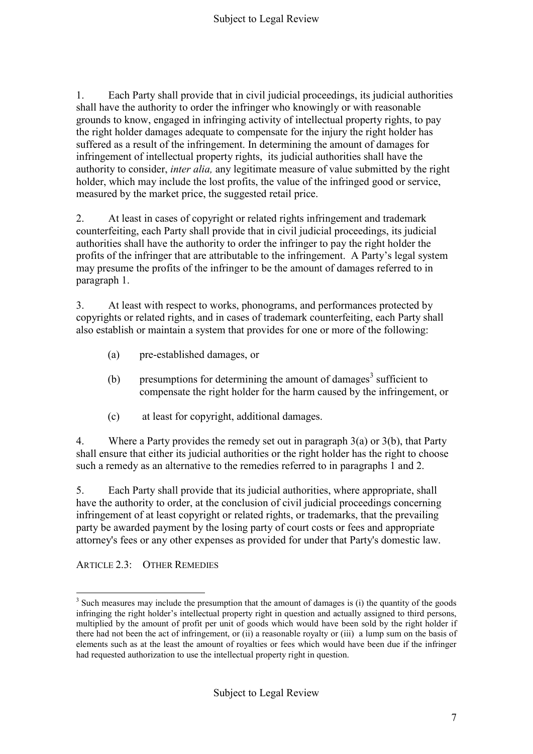1. Each Party shall provide that in civil judicial proceedings, its judicial authorities shall have the authority to order the infringer who knowingly or with reasonable grounds to know, engaged in infringing activity of intellectual property rights, to pay the right holder damages adequate to compensate for the injury the right holder has suffered as a result of the infringement. In determining the amount of damages for infringement of intellectual property rights, its judicial authorities shall have the authority to consider, *inter alia,* any legitimate measure of value submitted by the right holder, which may include the lost profits, the value of the infringed good or service, measured by the market price, the suggested retail price.

2. At least in cases of copyright or related rights infringement and trademark counterfeiting, each Party shall provide that in civil judicial proceedings, its judicial authorities shall have the authority to order the infringer to pay the right holder the profits of the infringer that are attributable to the infringement. A Party's legal system may presume the profits of the infringer to be the amount of damages referred to in paragraph 1.

3. At least with respect to works, phonograms, and performances protected by copyrights or related rights, and in cases of trademark counterfeiting, each Party shall also establish or maintain a system that provides for one or more of the following:

- (a) pre-established damages, or
- (b) presumptions for determining the amount of damages<sup>3</sup> sufficient to compensate the right holder for the harm caused by the infringement, or
- (c) at least for copyright, additional damages.

4. Where a Party provides the remedy set out in paragraph 3(a) or 3(b), that Party shall ensure that either its judicial authorities or the right holder has the right to choose such a remedy as an alternative to the remedies referred to in paragraphs 1 and 2.

5. Each Party shall provide that its judicial authorities, where appropriate, shall have the authority to order, at the conclusion of civil judicial proceedings concerning infringement of at least copyright or related rights, or trademarks, that the prevailing party be awarded payment by the losing party of court costs or fees and appropriate attorney's fees or any other expenses as provided for under that Party's domestic law.

ARTICLE 2.3: OTHER REMEDIES

1

 $3$  Such measures may include the presumption that the amount of damages is (i) the quantity of the goods infringing the right holder's intellectual property right in question and actually assigned to third persons, multiplied by the amount of profit per unit of goods which would have been sold by the right holder if there had not been the act of infringement, or (ii) a reasonable royalty or (iii) a lump sum on the basis of elements such as at the least the amount of royalties or fees which would have been due if the infringer had requested authorization to use the intellectual property right in question.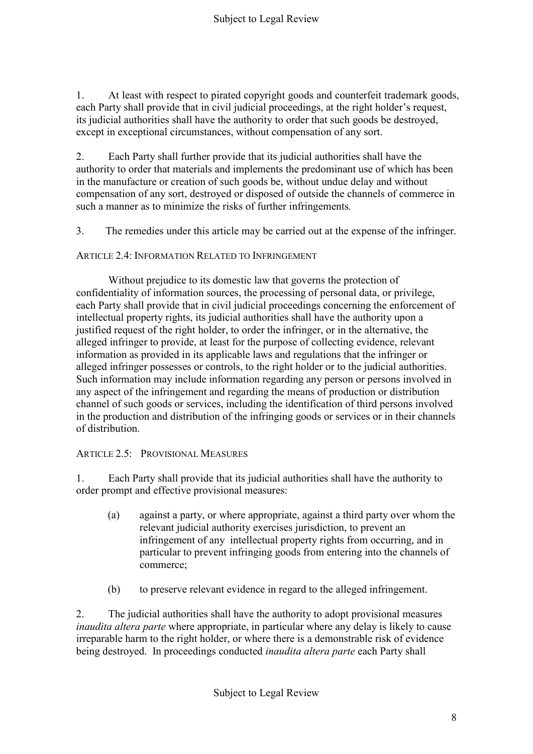1. At least with respect to pirated copyright goods and counterfeit trademark goods, each Party shall provide that in civil judicial proceedings, at the right holder's request, its judicial authorities shall have the authority to order that such goods be destroyed, except in exceptional circumstances, without compensation of any sort.

2. Each Party shall further provide that its judicial authorities shall have the authority to order that materials and implements the predominant use of which has been in the manufacture or creation of such goods be, without undue delay and without compensation of any sort, destroyed or disposed of outside the channels of commerce in such a manner as to minimize the risks of further infringements*.*

3. The remedies under this article may be carried out at the expense of the infringer.

ARTICLE 2.4: INFORMATION RELATED TO INFRINGEMENT

Without prejudice to its domestic law that governs the protection of confidentiality of information sources, the processing of personal data, or privilege, each Party shall provide that in civil judicial proceedings concerning the enforcement of intellectual property rights, its judicial authorities shall have the authority upon a justified request of the right holder, to order the infringer, or in the alternative, the alleged infringer to provide, at least for the purpose of collecting evidence, relevant information as provided in its applicable laws and regulations that the infringer or alleged infringer possesses or controls, to the right holder or to the judicial authorities. Such information may include information regarding any person or persons involved in any aspect of the infringement and regarding the means of production or distribution channel of such goods or services, including the identification of third persons involved in the production and distribution of the infringing goods or services or in their channels of distribution.

ARTICLE 2.5: PROVISIONAL MEASURES

1. Each Party shall provide that its judicial authorities shall have the authority to order prompt and effective provisional measures:

- (a) against a party, or where appropriate, against a third party over whom the relevant judicial authority exercises jurisdiction, to prevent an infringement of any intellectual property rights from occurring, and in particular to prevent infringing goods from entering into the channels of commerce;
- (b) to preserve relevant evidence in regard to the alleged infringement.

2. The judicial authorities shall have the authority to adopt provisional measures *inaudita altera parte* where appropriate, in particular where any delay is likely to cause irreparable harm to the right holder, or where there is a demonstrable risk of evidence being destroyed. In proceedings conducted *inaudita altera parte* each Party shall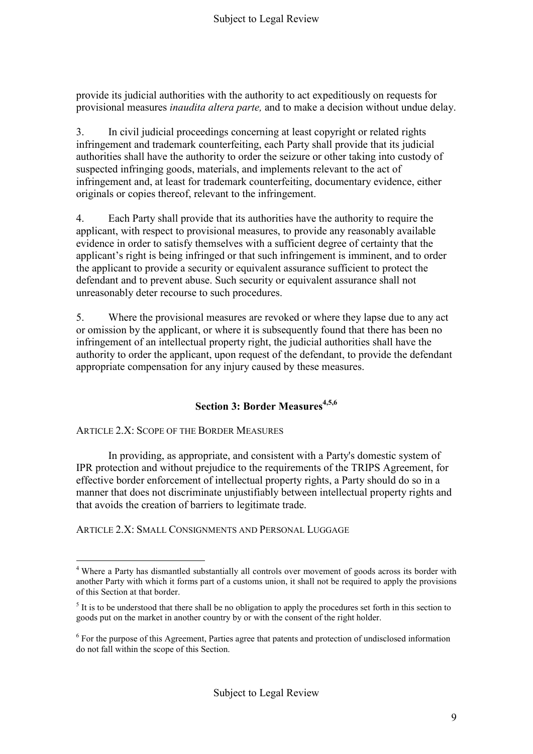provide its judicial authorities with the authority to act expeditiously on requests for provisional measures *inaudita altera parte,* and to make a decision without undue delay.

3. In civil judicial proceedings concerning at least copyright or related rights infringement and trademark counterfeiting, each Party shall provide that its judicial authorities shall have the authority to order the seizure or other taking into custody of suspected infringing goods, materials, and implements relevant to the act of infringement and, at least for trademark counterfeiting, documentary evidence, either originals or copies thereof, relevant to the infringement.

4. Each Party shall provide that its authorities have the authority to require the applicant, with respect to provisional measures, to provide any reasonably available evidence in order to satisfy themselves with a sufficient degree of certainty that the applicant's right is being infringed or that such infringement is imminent, and to order the applicant to provide a security or equivalent assurance sufficient to protect the defendant and to prevent abuse. Such security or equivalent assurance shall not unreasonably deter recourse to such procedures.

5. Where the provisional measures are revoked or where they lapse due to any act or omission by the applicant, or where it is subsequently found that there has been no infringement of an intellectual property right, the judicial authorities shall have the authority to order the applicant, upon request of the defendant, to provide the defendant appropriate compensation for any injury caused by these measures.

## **Section 3: Border Measures4,5,6**

ARTICLE 2.X: SCOPE OF THE BORDER MEASURES

In providing, as appropriate, and consistent with a Party's domestic system of IPR protection and without prejudice to the requirements of the TRIPS Agreement, for effective border enforcement of intellectual property rights, a Party should do so in a manner that does not discriminate unjustifiably between intellectual property rights and that avoids the creation of barriers to legitimate trade.

ARTICLE 2.X: SMALL CONSIGNMENTS AND PERSONAL LUGGAGE

<sup>1</sup> <sup>4</sup> Where a Party has dismantled substantially all controls over movement of goods across its border with another Party with which it forms part of a customs union, it shall not be required to apply the provisions of this Section at that border.

 $<sup>5</sup>$  It is to be understood that there shall be no obligation to apply the procedures set forth in this section to</sup> goods put on the market in another country by or with the consent of the right holder.

<sup>&</sup>lt;sup>6</sup> For the purpose of this Agreement, Parties agree that patents and protection of undisclosed information do not fall within the scope of this Section.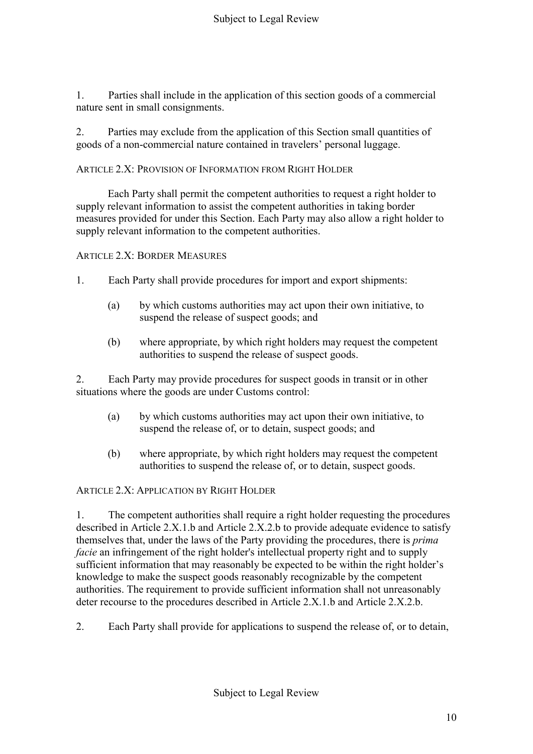1. Parties shall include in the application of this section goods of a commercial nature sent in small consignments.

2. Parties may exclude from the application of this Section small quantities of goods of a non-commercial nature contained in travelers' personal luggage.

## ARTICLE 2.X: PROVISION OF INFORMATION FROM RIGHT HOLDER

Each Party shall permit the competent authorities to request a right holder to supply relevant information to assist the competent authorities in taking border measures provided for under this Section. Each Party may also allow a right holder to supply relevant information to the competent authorities.

ARTICLE 2.X: BORDER MEASURES

- 1. Each Party shall provide procedures for import and export shipments:
	- (a) by which customs authorities may act upon their own initiative, to suspend the release of suspect goods; and
	- (b) where appropriate, by which right holders may request the competent authorities to suspend the release of suspect goods.

2. Each Party may provide procedures for suspect goods in transit or in other situations where the goods are under Customs control:

- (a) by which customs authorities may act upon their own initiative, to suspend the release of, or to detain, suspect goods; and
- (b) where appropriate, by which right holders may request the competent authorities to suspend the release of, or to detain, suspect goods.

ARTICLE 2.X: APPLICATION BY RIGHT HOLDER

1. The competent authorities shall require a right holder requesting the procedures described in Article 2.X.1.b and Article 2.X.2.b to provide adequate evidence to satisfy themselves that, under the laws of the Party providing the procedures, there is *prima facie* an infringement of the right holder's intellectual property right and to supply sufficient information that may reasonably be expected to be within the right holder's knowledge to make the suspect goods reasonably recognizable by the competent authorities. The requirement to provide sufficient information shall not unreasonably deter recourse to the procedures described in Article 2.X.1.b and Article 2.X.2.b.

2. Each Party shall provide for applications to suspend the release of, or to detain,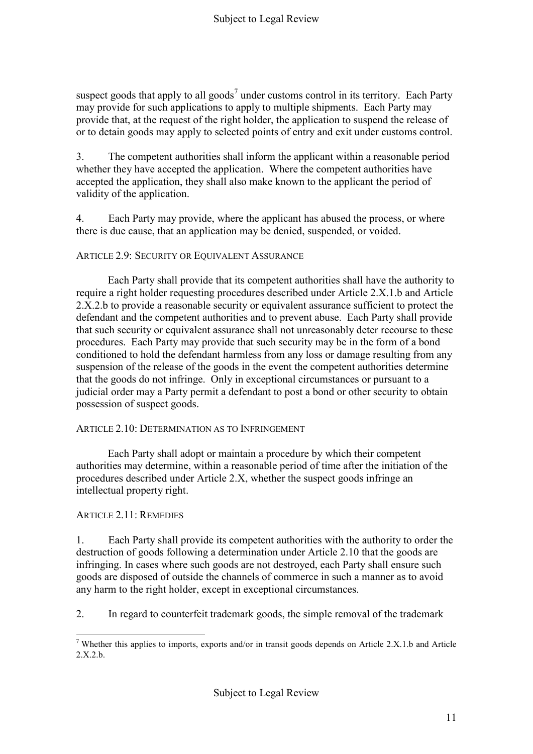suspect goods that apply to all goods<sup>7</sup> under customs control in its territory. Each Party may provide for such applications to apply to multiple shipments. Each Party may provide that, at the request of the right holder, the application to suspend the release of or to detain goods may apply to selected points of entry and exit under customs control.

3. The competent authorities shall inform the applicant within a reasonable period whether they have accepted the application. Where the competent authorities have accepted the application, they shall also make known to the applicant the period of validity of the application.

4. Each Party may provide, where the applicant has abused the process, or where there is due cause, that an application may be denied, suspended, or voided.

#### ARTICLE 2.9: SECURITY OR EQUIVALENT ASSURANCE

Each Party shall provide that its competent authorities shall have the authority to require a right holder requesting procedures described under Article 2.X.1.b and Article 2.X.2.b to provide a reasonable security or equivalent assurance sufficient to protect the defendant and the competent authorities and to prevent abuse. Each Party shall provide that such security or equivalent assurance shall not unreasonably deter recourse to these procedures. Each Party may provide that such security may be in the form of a bond conditioned to hold the defendant harmless from any loss or damage resulting from any suspension of the release of the goods in the event the competent authorities determine that the goods do not infringe. Only in exceptional circumstances or pursuant to a judicial order may a Party permit a defendant to post a bond or other security to obtain possession of suspect goods.

#### ARTICLE 2.10: DETERMINATION AS TO INFRINGEMENT

Each Party shall adopt or maintain a procedure by which their competent authorities may determine, within a reasonable period of time after the initiation of the procedures described under Article 2.X, whether the suspect goods infringe an intellectual property right.

## ARTICLE 2.11: REMEDIES

1. Each Party shall provide its competent authorities with the authority to order the destruction of goods following a determination under Article 2.10 that the goods are infringing. In cases where such goods are not destroyed, each Party shall ensure such goods are disposed of outside the channels of commerce in such a manner as to avoid any harm to the right holder, except in exceptional circumstances.

2. In regard to counterfeit trademark goods, the simple removal of the trademark

<sup>&</sup>lt;u>.</u> <sup>7</sup> Whether this applies to imports, exports and/or in transit goods depends on Article 2.X.1.b and Article 2.X.2.b.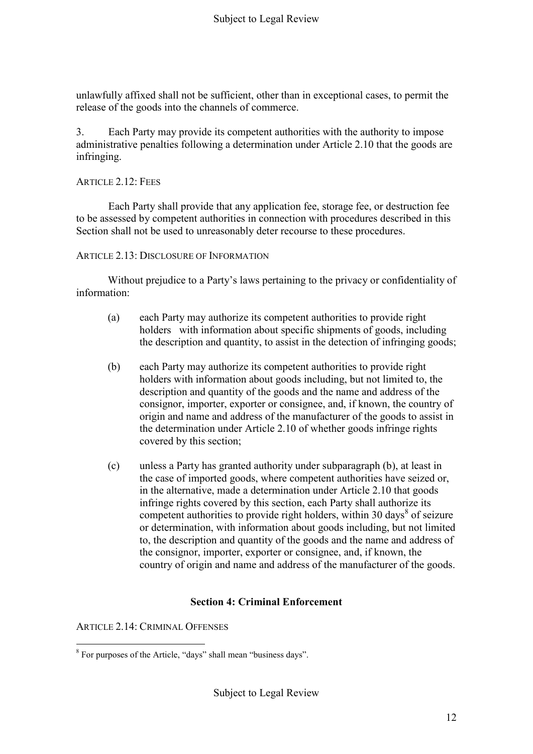unlawfully affixed shall not be sufficient, other than in exceptional cases, to permit the release of the goods into the channels of commerce.

3. Each Party may provide its competent authorities with the authority to impose administrative penalties following a determination under Article 2.10 that the goods are infringing.

#### ARTICLE 2.12: FEES

Each Party shall provide that any application fee, storage fee, or destruction fee to be assessed by competent authorities in connection with procedures described in this Section shall not be used to unreasonably deter recourse to these procedures.

ARTICLE 2.13: DISCLOSURE OF INFORMATION

Without prejudice to a Party's laws pertaining to the privacy or confidentiality of information:

- (a) each Party may authorize its competent authorities to provide right holders with information about specific shipments of goods, including the description and quantity, to assist in the detection of infringing goods;
- (b) each Party may authorize its competent authorities to provide right holders with information about goods including, but not limited to, the description and quantity of the goods and the name and address of the consignor, importer, exporter or consignee, and, if known, the country of origin and name and address of the manufacturer of the goods to assist in the determination under Article 2.10 of whether goods infringe rights covered by this section;
- (c) unless a Party has granted authority under subparagraph (b), at least in the case of imported goods, where competent authorities have seized or, in the alternative, made a determination under Article 2.10 that goods infringe rights covered by this section, each Party shall authorize its competent authorities to provide right holders, within 30 days<sup>8</sup> of seizure or determination, with information about goods including, but not limited to, the description and quantity of the goods and the name and address of the consignor, importer, exporter or consignee, and, if known, the country of origin and name and address of the manufacturer of the goods.

## **Section 4: Criminal Enforcement**

ARTICLE 2.14: CRIMINAL OFFENSES

<sup>&</sup>lt;sup>8</sup> For purposes of the Article, "days" shall mean "business days".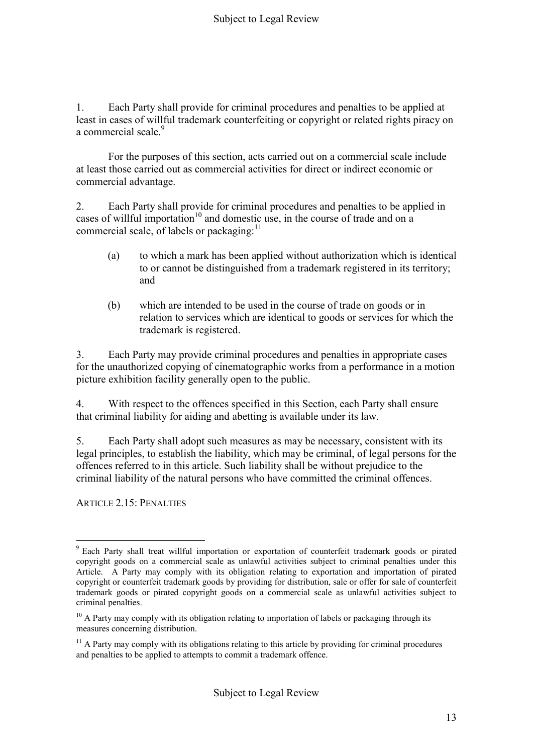1. Each Party shall provide for criminal procedures and penalties to be applied at least in cases of willful trademark counterfeiting or copyright or related rights piracy on a commercial scale.<sup>9</sup>

For the purposes of this section, acts carried out on a commercial scale include at least those carried out as commercial activities for direct or indirect economic or commercial advantage.

2. Each Party shall provide for criminal procedures and penalties to be applied in cases of willful importation<sup>10</sup> and domestic use, in the course of trade and on a commercial scale, of labels or packaging: $^{11}$ 

- (a) to which a mark has been applied without authorization which is identical to or cannot be distinguished from a trademark registered in its territory; and
- (b) which are intended to be used in the course of trade on goods or in relation to services which are identical to goods or services for which the trademark is registered.

3. Each Party may provide criminal procedures and penalties in appropriate cases for the unauthorized copying of cinematographic works from a performance in a motion picture exhibition facility generally open to the public.

4. With respect to the offences specified in this Section, each Party shall ensure that criminal liability for aiding and abetting is available under its law.

5. Each Party shall adopt such measures as may be necessary, consistent with its legal principles, to establish the liability, which may be criminal, of legal persons for the offences referred to in this article. Such liability shall be without prejudice to the criminal liability of the natural persons who have committed the criminal offences.

ARTICLE 2.15: PENALTIES

<sup>1</sup> <sup>9</sup> Each Party shall treat willful importation or exportation of counterfeit trademark goods or pirated copyright goods on a commercial scale as unlawful activities subject to criminal penalties under this Article. A Party may comply with its obligation relating to exportation and importation of pirated copyright or counterfeit trademark goods by providing for distribution, sale or offer for sale of counterfeit trademark goods or pirated copyright goods on a commercial scale as unlawful activities subject to criminal penalties.

 $10$  A Party may comply with its obligation relating to importation of labels or packaging through its measures concerning distribution.

 $11$  A Party may comply with its obligations relating to this article by providing for criminal procedures and penalties to be applied to attempts to commit a trademark offence.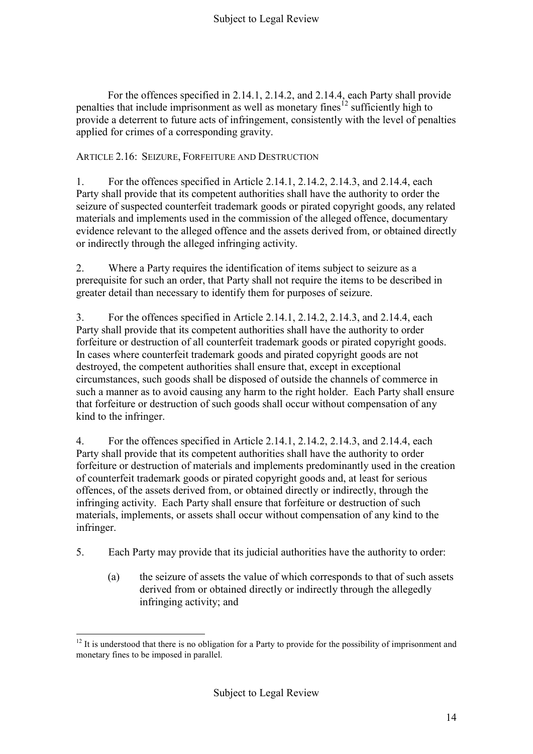For the offences specified in 2.14.1, 2.14.2, and 2.14.4, each Party shall provide penalties that include imprisonment as well as monetary fines<sup>12</sup> sufficiently high to provide a deterrent to future acts of infringement, consistently with the level of penalties applied for crimes of a corresponding gravity.

ARTICLE 2.16: SEIZURE, FORFEITURE AND DESTRUCTION

1. For the offences specified in Article 2.14.1, 2.14.2, 2.14.3, and 2.14.4, each Party shall provide that its competent authorities shall have the authority to order the seizure of suspected counterfeit trademark goods or pirated copyright goods, any related materials and implements used in the commission of the alleged offence, documentary evidence relevant to the alleged offence and the assets derived from, or obtained directly or indirectly through the alleged infringing activity.

2. Where a Party requires the identification of items subject to seizure as a prerequisite for such an order, that Party shall not require the items to be described in greater detail than necessary to identify them for purposes of seizure.

3. For the offences specified in Article 2.14.1, 2.14.2, 2.14.3, and 2.14.4, each Party shall provide that its competent authorities shall have the authority to order forfeiture or destruction of all counterfeit trademark goods or pirated copyright goods. In cases where counterfeit trademark goods and pirated copyright goods are not destroyed, the competent authorities shall ensure that, except in exceptional circumstances, such goods shall be disposed of outside the channels of commerce in such a manner as to avoid causing any harm to the right holder. Each Party shall ensure that forfeiture or destruction of such goods shall occur without compensation of any kind to the infringer.

4. For the offences specified in Article 2.14.1, 2.14.2, 2.14.3, and 2.14.4, each Party shall provide that its competent authorities shall have the authority to order forfeiture or destruction of materials and implements predominantly used in the creation of counterfeit trademark goods or pirated copyright goods and, at least for serious offences, of the assets derived from, or obtained directly or indirectly, through the infringing activity. Each Party shall ensure that forfeiture or destruction of such materials, implements, or assets shall occur without compensation of any kind to the infringer.

5. Each Party may provide that its judicial authorities have the authority to order:

(a) the seizure of assets the value of which corresponds to that of such assets derived from or obtained directly or indirectly through the allegedly infringing activity; and

<sup>&</sup>lt;u>.</u>  $12$  It is understood that there is no obligation for a Party to provide for the possibility of imprisonment and monetary fines to be imposed in parallel.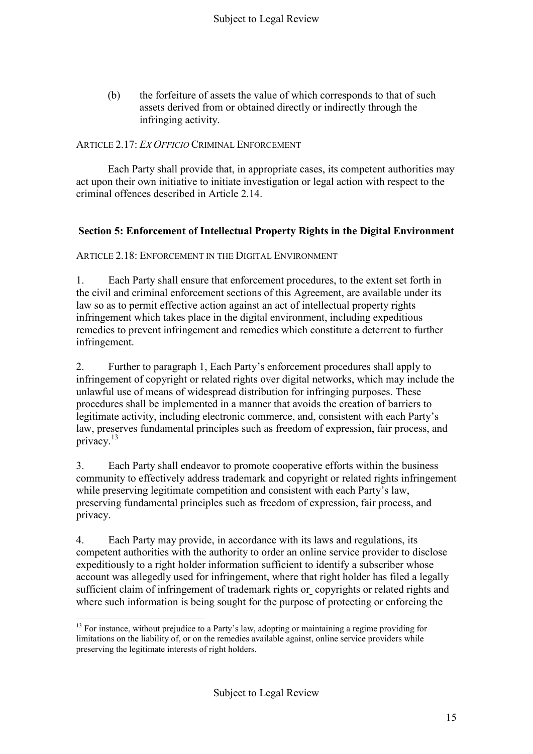(b) the forfeiture of assets the value of which corresponds to that of such assets derived from or obtained directly or indirectly through the infringing activity.

## ARTICLE 2.17: *EX OFFICIO* CRIMINAL ENFORCEMENT

Each Party shall provide that, in appropriate cases, its competent authorities may act upon their own initiative to initiate investigation or legal action with respect to the criminal offences described in Article 2.14.

## **Section 5: Enforcement of Intellectual Property Rights in the Digital Environment**

ARTICLE 2.18: ENFORCEMENT IN THE DIGITAL ENVIRONMENT

1. Each Party shall ensure that enforcement procedures, to the extent set forth in the civil and criminal enforcement sections of this Agreement, are available under its law so as to permit effective action against an act of intellectual property rights infringement which takes place in the digital environment, including expeditious remedies to prevent infringement and remedies which constitute a deterrent to further infringement.

2. Further to paragraph 1, Each Party's enforcement procedures shall apply to infringement of copyright or related rights over digital networks, which may include the unlawful use of means of widespread distribution for infringing purposes. These procedures shall be implemented in a manner that avoids the creation of barriers to legitimate activity, including electronic commerce, and, consistent with each Party's law, preserves fundamental principles such as freedom of expression, fair process, and privacy.<sup>13</sup>

3. Each Party shall endeavor to promote cooperative efforts within the business community to effectively address trademark and copyright or related rights infringement while preserving legitimate competition and consistent with each Party's law, preserving fundamental principles such as freedom of expression, fair process, and privacy.

4. Each Party may provide, in accordance with its laws and regulations, its competent authorities with the authority to order an online service provider to disclose expeditiously to a right holder information sufficient to identify a subscriber whose account was allegedly used for infringement, where that right holder has filed a legally sufficient claim of infringement of trademark rights or copyrights or related rights and where such information is being sought for the purpose of protecting or enforcing the

<sup>1</sup> <sup>13</sup> For instance, without prejudice to a Party's law, adopting or maintaining a regime providing for limitations on the liability of, or on the remedies available against, online service providers while preserving the legitimate interests of right holders.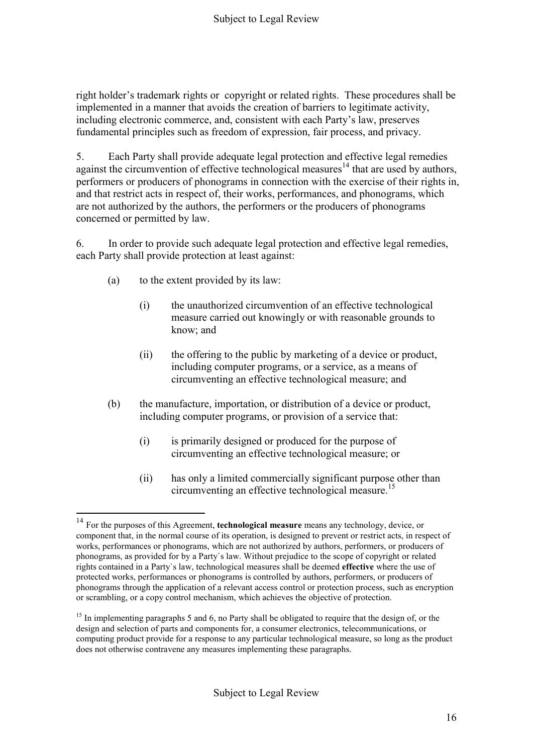right holder's trademark rights or copyright or related rights. These procedures shall be implemented in a manner that avoids the creation of barriers to legitimate activity, including electronic commerce, and, consistent with each Party's law, preserves fundamental principles such as freedom of expression, fair process, and privacy.

5. Each Party shall provide adequate legal protection and effective legal remedies against the circumvention of effective technological measures<sup>14</sup> that are used by authors, performers or producers of phonograms in connection with the exercise of their rights in, and that restrict acts in respect of, their works, performances, and phonograms, which are not authorized by the authors, the performers or the producers of phonograms concerned or permitted by law.

6. In order to provide such adequate legal protection and effective legal remedies, each Party shall provide protection at least against:

(a) to the extent provided by its law:

1

- (i) the unauthorized circumvention of an effective technological measure carried out knowingly or with reasonable grounds to know; and
- (ii) the offering to the public by marketing of a device or product, including computer programs, or a service, as a means of circumventing an effective technological measure; and
- (b) the manufacture, importation, or distribution of a device or product, including computer programs, or provision of a service that:
	- (i) is primarily designed or produced for the purpose of circumventing an effective technological measure; or
	- (ii) has only a limited commercially significant purpose other than circumventing an effective technological measure.<sup>15</sup>

<sup>14</sup> For the purposes of this Agreement, **technological measure** means any technology, device, or component that, in the normal course of its operation, is designed to prevent or restrict acts, in respect of works, performances or phonograms, which are not authorized by authors, performers, or producers of phonograms, as provided for by a Party`s law. Without prejudice to the scope of copyright or related rights contained in a Party`s law, technological measures shall be deemed **effective** where the use of protected works, performances or phonograms is controlled by authors, performers, or producers of phonograms through the application of a relevant access control or protection process, such as encryption or scrambling, or a copy control mechanism, which achieves the objective of protection.

 $15$  In implementing paragraphs 5 and 6, no Party shall be obligated to require that the design of, or the design and selection of parts and components for, a consumer electronics, telecommunications, or computing product provide for a response to any particular technological measure, so long as the product does not otherwise contravene any measures implementing these paragraphs.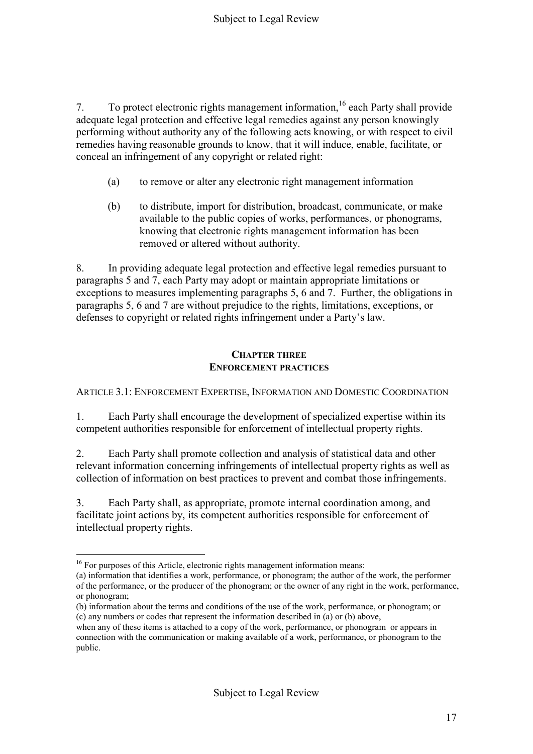7. To protect electronic rights management information,<sup>16</sup> each Party shall provide adequate legal protection and effective legal remedies against any person knowingly performing without authority any of the following acts knowing, or with respect to civil remedies having reasonable grounds to know, that it will induce, enable, facilitate, or conceal an infringement of any copyright or related right:

- (a) to remove or alter any electronic right management information
- (b) to distribute, import for distribution, broadcast, communicate, or make available to the public copies of works, performances, or phonograms, knowing that electronic rights management information has been removed or altered without authority.

8. In providing adequate legal protection and effective legal remedies pursuant to paragraphs 5 and 7, each Party may adopt or maintain appropriate limitations or exceptions to measures implementing paragraphs 5, 6 and 7. Further, the obligations in paragraphs 5, 6 and 7 are without prejudice to the rights, limitations, exceptions, or defenses to copyright or related rights infringement under a Party's law.

#### **CHAPTER THREE ENFORCEMENT PRACTICES**

ARTICLE 3.1: ENFORCEMENT EXPERTISE, INFORMATION AND DOMESTIC COORDINATION

1. Each Party shall encourage the development of specialized expertise within its competent authorities responsible for enforcement of intellectual property rights.

2. Each Party shall promote collection and analysis of statistical data and other relevant information concerning infringements of intellectual property rights as well as collection of information on best practices to prevent and combat those infringements.

3. Each Party shall, as appropriate, promote internal coordination among, and facilitate joint actions by, its competent authorities responsible for enforcement of intellectual property rights.

1

<sup>&</sup>lt;sup>16</sup> For purposes of this Article, electronic rights management information means:

<sup>(</sup>a) information that identifies a work, performance, or phonogram; the author of the work, the performer of the performance, or the producer of the phonogram; or the owner of any right in the work, performance, or phonogram;

<sup>(</sup>b) information about the terms and conditions of the use of the work, performance, or phonogram; or (c) any numbers or codes that represent the information described in (a) or (b) above,

when any of these items is attached to a copy of the work, performance, or phonogram or appears in connection with the communication or making available of a work, performance, or phonogram to the public.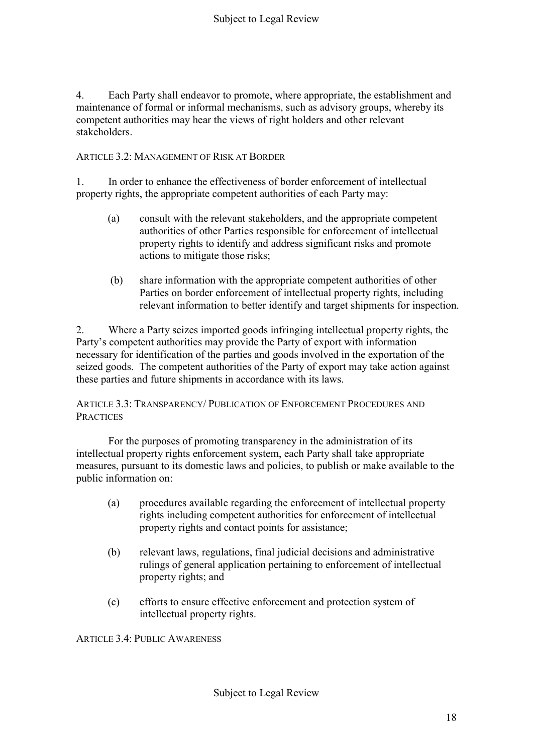4. Each Party shall endeavor to promote, where appropriate, the establishment and maintenance of formal or informal mechanisms, such as advisory groups, whereby its competent authorities may hear the views of right holders and other relevant stakeholders.

ARTICLE 3.2: MANAGEMENT OF RISK AT BORDER

1. In order to enhance the effectiveness of border enforcement of intellectual property rights, the appropriate competent authorities of each Party may:

- (a) consult with the relevant stakeholders, and the appropriate competent authorities of other Parties responsible for enforcement of intellectual property rights to identify and address significant risks and promote actions to mitigate those risks;
- (b) share information with the appropriate competent authorities of other Parties on border enforcement of intellectual property rights, including relevant information to better identify and target shipments for inspection.

2. Where a Party seizes imported goods infringing intellectual property rights, the Party's competent authorities may provide the Party of export with information necessary for identification of the parties and goods involved in the exportation of the seized goods. The competent authorities of the Party of export may take action against these parties and future shipments in accordance with its laws.

ARTICLE 3.3: TRANSPARENCY/ PUBLICATION OF ENFORCEMENT PROCEDURES AND **PRACTICES** 

For the purposes of promoting transparency in the administration of its intellectual property rights enforcement system, each Party shall take appropriate measures, pursuant to its domestic laws and policies, to publish or make available to the public information on:

- (a) procedures available regarding the enforcement of intellectual property rights including competent authorities for enforcement of intellectual property rights and contact points for assistance;
- (b) relevant laws, regulations, final judicial decisions and administrative rulings of general application pertaining to enforcement of intellectual property rights; and
- (c) efforts to ensure effective enforcement and protection system of intellectual property rights.

ARTICLE 3.4: PUBLIC AWARENESS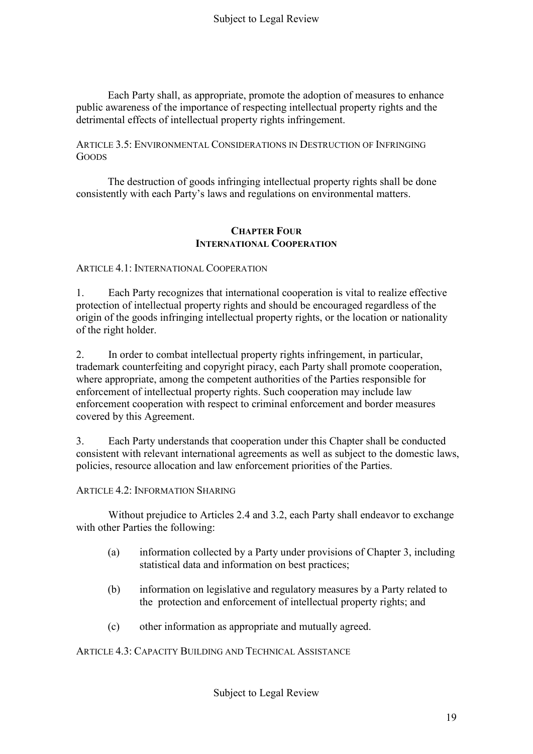Each Party shall, as appropriate, promote the adoption of measures to enhance public awareness of the importance of respecting intellectual property rights and the detrimental effects of intellectual property rights infringement.

ARTICLE 3.5: ENVIRONMENTAL CONSIDERATIONS IN DESTRUCTION OF INFRINGING **GOODS** 

The destruction of goods infringing intellectual property rights shall be done consistently with each Party's laws and regulations on environmental matters.

#### **CHAPTER FOUR INTERNATIONAL COOPERATION**

ARTICLE 4.1: INTERNATIONAL COOPERATION

1. Each Party recognizes that international cooperation is vital to realize effective protection of intellectual property rights and should be encouraged regardless of the origin of the goods infringing intellectual property rights, or the location or nationality of the right holder.

2. In order to combat intellectual property rights infringement, in particular, trademark counterfeiting and copyright piracy, each Party shall promote cooperation, where appropriate, among the competent authorities of the Parties responsible for enforcement of intellectual property rights. Such cooperation may include law enforcement cooperation with respect to criminal enforcement and border measures covered by this Agreement.

3. Each Party understands that cooperation under this Chapter shall be conducted consistent with relevant international agreements as well as subject to the domestic laws, policies, resource allocation and law enforcement priorities of the Parties.

ARTICLE 4.2: INFORMATION SHARING

Without prejudice to Articles 2.4 and 3.2, each Party shall endeavor to exchange with other Parties the following:

- (a) information collected by a Party under provisions of Chapter 3, including statistical data and information on best practices;
- (b) information on legislative and regulatory measures by a Party related to the protection and enforcement of intellectual property rights; and
- (c) other information as appropriate and mutually agreed.

ARTICLE 4.3: CAPACITY BUILDING AND TECHNICAL ASSISTANCE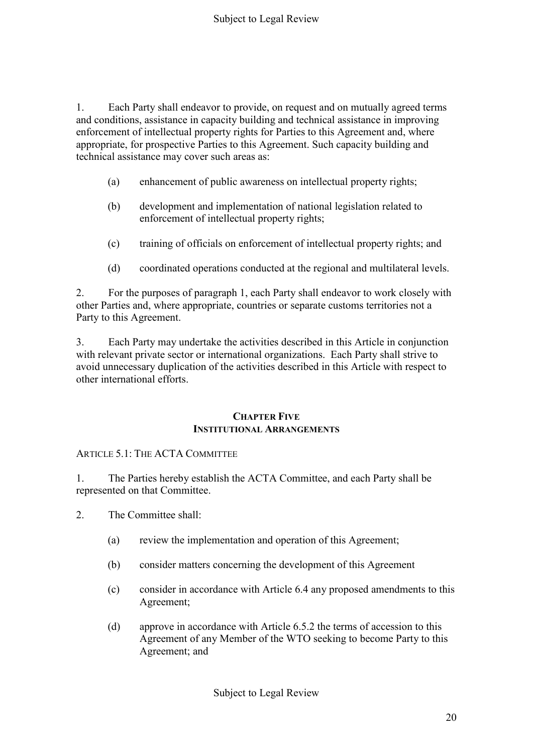1. Each Party shall endeavor to provide, on request and on mutually agreed terms and conditions, assistance in capacity building and technical assistance in improving enforcement of intellectual property rights for Parties to this Agreement and, where appropriate, for prospective Parties to this Agreement. Such capacity building and technical assistance may cover such areas as:

- (a) enhancement of public awareness on intellectual property rights;
- (b) development and implementation of national legislation related to enforcement of intellectual property rights;
- (c) training of officials on enforcement of intellectual property rights; and
- (d) coordinated operations conducted at the regional and multilateral levels.

2. For the purposes of paragraph 1, each Party shall endeavor to work closely with other Parties and, where appropriate, countries or separate customs territories not a Party to this Agreement.

3. Each Party may undertake the activities described in this Article in conjunction with relevant private sector or international organizations. Each Party shall strive to avoid unnecessary duplication of the activities described in this Article with respect to other international efforts.

#### **CHAPTER FIVE INSTITUTIONAL ARRANGEMENTS**

## ARTICLE 5.1: THE ACTA COMMITTEE

1. The Parties hereby establish the ACTA Committee, and each Party shall be represented on that Committee.

- 2. The Committee shall:
	- (a) review the implementation and operation of this Agreement;
	- (b) consider matters concerning the development of this Agreement
	- (c) consider in accordance with Article 6.4 any proposed amendments to this Agreement;
	- (d) approve in accordance with Article 6.5.2 the terms of accession to this Agreement of any Member of the WTO seeking to become Party to this Agreement; and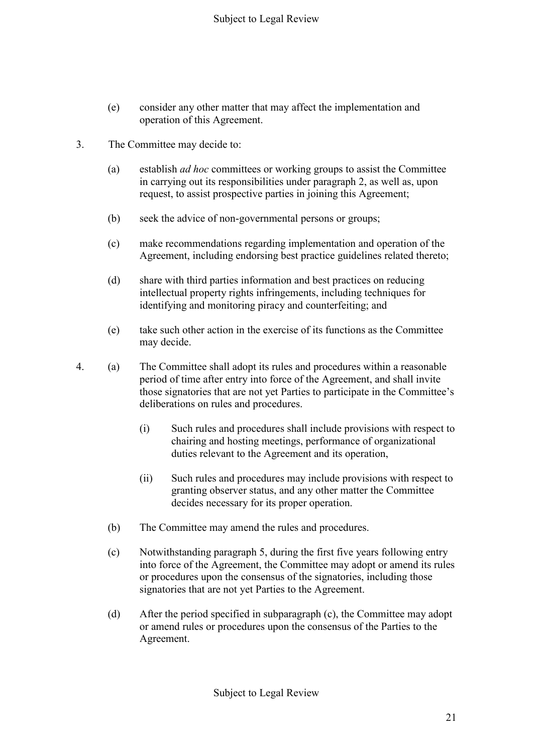- (e) consider any other matter that may affect the implementation and operation of this Agreement.
- 3. The Committee may decide to:
	- (a) establish *ad hoc* committees or working groups to assist the Committee in carrying out its responsibilities under paragraph 2, as well as, upon request, to assist prospective parties in joining this Agreement;
	- (b) seek the advice of non-governmental persons or groups;
	- (c) make recommendations regarding implementation and operation of the Agreement, including endorsing best practice guidelines related thereto;
	- (d) share with third parties information and best practices on reducing intellectual property rights infringements, including techniques for identifying and monitoring piracy and counterfeiting; and
	- (e) take such other action in the exercise of its functions as the Committee may decide.
- 4. (a) The Committee shall adopt its rules and procedures within a reasonable period of time after entry into force of the Agreement, and shall invite those signatories that are not yet Parties to participate in the Committee's deliberations on rules and procedures.
	- (i) Such rules and procedures shall include provisions with respect to chairing and hosting meetings, performance of organizational duties relevant to the Agreement and its operation,
	- (ii) Such rules and procedures may include provisions with respect to granting observer status, and any other matter the Committee decides necessary for its proper operation.
	- (b) The Committee may amend the rules and procedures.
	- (c) Notwithstanding paragraph 5, during the first five years following entry into force of the Agreement, the Committee may adopt or amend its rules or procedures upon the consensus of the signatories, including those signatories that are not yet Parties to the Agreement.
	- (d) After the period specified in subparagraph (c), the Committee may adopt or amend rules or procedures upon the consensus of the Parties to the Agreement.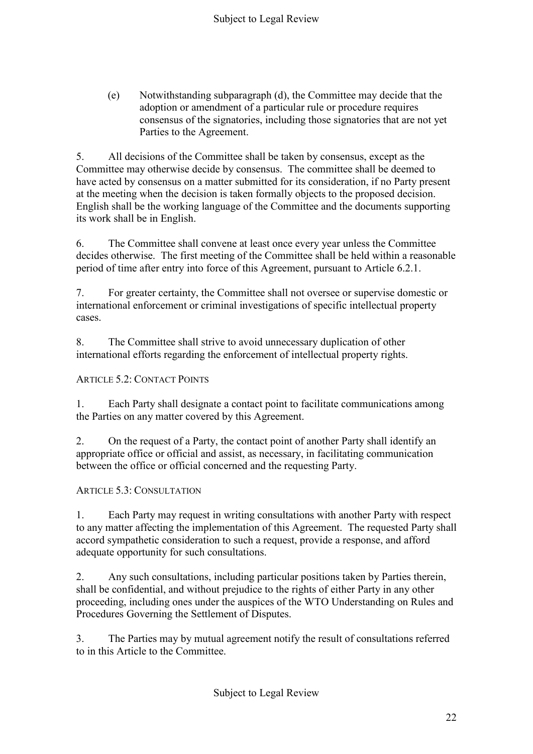(e) Notwithstanding subparagraph (d), the Committee may decide that the adoption or amendment of a particular rule or procedure requires consensus of the signatories, including those signatories that are not yet Parties to the Agreement.

5. All decisions of the Committee shall be taken by consensus, except as the Committee may otherwise decide by consensus. The committee shall be deemed to have acted by consensus on a matter submitted for its consideration, if no Party present at the meeting when the decision is taken formally objects to the proposed decision. English shall be the working language of the Committee and the documents supporting its work shall be in English.

6. The Committee shall convene at least once every year unless the Committee decides otherwise. The first meeting of the Committee shall be held within a reasonable period of time after entry into force of this Agreement, pursuant to Article 6.2.1.

7. For greater certainty, the Committee shall not oversee or supervise domestic or international enforcement or criminal investigations of specific intellectual property cases.

8. The Committee shall strive to avoid unnecessary duplication of other international efforts regarding the enforcement of intellectual property rights.

## ARTICLE 5.2: CONTACT POINTS

1. Each Party shall designate a contact point to facilitate communications among the Parties on any matter covered by this Agreement.

2. On the request of a Party, the contact point of another Party shall identify an appropriate office or official and assist, as necessary, in facilitating communication between the office or official concerned and the requesting Party.

## ARTICLE 5.3: CONSULTATION

1. Each Party may request in writing consultations with another Party with respect to any matter affecting the implementation of this Agreement. The requested Party shall accord sympathetic consideration to such a request, provide a response, and afford adequate opportunity for such consultations.

2. Any such consultations, including particular positions taken by Parties therein, shall be confidential, and without prejudice to the rights of either Party in any other proceeding, including ones under the auspices of the WTO Understanding on Rules and Procedures Governing the Settlement of Disputes.

3. The Parties may by mutual agreement notify the result of consultations referred to in this Article to the Committee.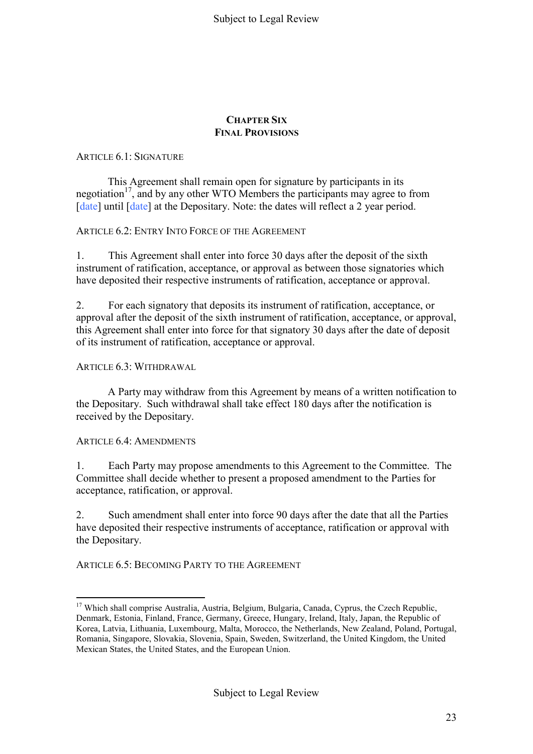#### **CHAPTER SIX FINAL PROVISIONS**

## ARTICLE 6.1: SIGNATURE

This Agreement shall remain open for signature by participants in its negotiation<sup>17</sup>, and by any other WTO Members the participants may agree to from [date] until [date] at the Depositary. Note: the dates will reflect a 2 year period.

## ARTICLE 6.2: ENTRY INTO FORCE OF THE AGREEMENT

1. This Agreement shall enter into force 30 days after the deposit of the sixth instrument of ratification, acceptance, or approval as between those signatories which have deposited their respective instruments of ratification, acceptance or approval.

2. For each signatory that deposits its instrument of ratification, acceptance, or approval after the deposit of the sixth instrument of ratification, acceptance, or approval, this Agreement shall enter into force for that signatory 30 days after the date of deposit of its instrument of ratification, acceptance or approval.

#### ARTICLE 6.3: WITHDRAWAL

A Party may withdraw from this Agreement by means of a written notification to the Depositary. Such withdrawal shall take effect 180 days after the notification is received by the Depositary.

#### ARTICLE 6.4: AMENDMENTS

<u>.</u>

1. Each Party may propose amendments to this Agreement to the Committee. The Committee shall decide whether to present a proposed amendment to the Parties for acceptance, ratification, or approval.

2. Such amendment shall enter into force 90 days after the date that all the Parties have deposited their respective instruments of acceptance, ratification or approval with the Depositary.

ARTICLE 6.5: BECOMING PARTY TO THE AGREEMENT

<sup>&</sup>lt;sup>17</sup> Which shall comprise Australia, Austria, Belgium, Bulgaria, Canada, Cyprus, the Czech Republic, Denmark, Estonia, Finland, France, Germany, Greece, Hungary, Ireland, Italy, Japan, the Republic of Korea, Latvia, Lithuania, Luxembourg, Malta, Morocco, the Netherlands, New Zealand, Poland, Portugal, Romania, Singapore, Slovakia, Slovenia, Spain, Sweden, Switzerland, the United Kingdom, the United Mexican States, the United States, and the European Union.